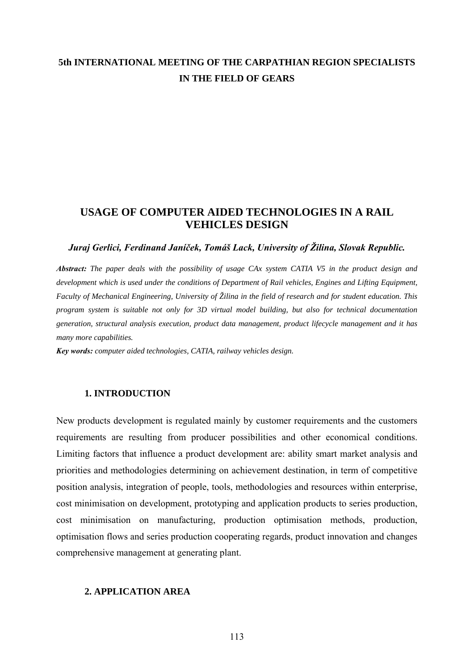# **5th INTERNATIONAL MEETING OF THE CARPATHIAN REGION SPECIALISTS IN THE FIELD OF GEARS**

## **USAGE OF COMPUTER AIDED TECHNOLOGIES IN A RAIL VEHICLES DESIGN**

#### *Juraj Gerlici, Ferdinand Janíček, Tomáš Lack, University of Žilina, Slovak Republic.*

*Abstract: The paper deals with the possibility of usage CAx system CATIA V5 in the product design and development which is used under the conditions of Department of Rail vehicles, Engines and Lifting Equipment, Faculty of Mechanical Engineering, University of Žilina in the field of research and for student education. This program system is suitable not only for 3D virtual model building, but also for technical documentation generation, structural analysis execution, product data management, product lifecycle management and it has many more capabilities.* 

*Key words: computer aided technologies, CATIA, railway vehicles design.*

#### **1. INTRODUCTION**

New products development is regulated mainly by customer requirements and the customers requirements are resulting from producer possibilities and other economical conditions. Limiting factors that influence a product development are: ability smart market analysis and priorities and methodologies determining on achievement destination, in term of competitive position analysis, integration of people, tools, methodologies and resources within enterprise, cost minimisation on development, prototyping and application products to series production, cost minimisation on manufacturing, production optimisation methods, production, optimisation flows and series production cooperating regards, product innovation and changes comprehensive management at generating plant.

#### **2. APPLICATION AREA**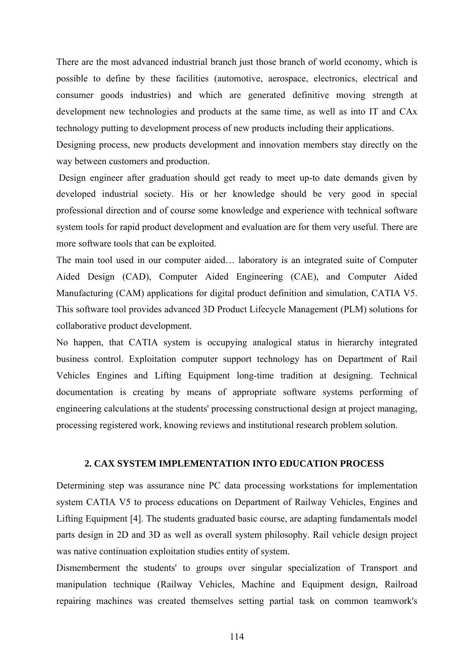There are the most advanced industrial branch just those branch of world economy, which is possible to define by these facilities (automotive, aerospace, electronics, electrical and consumer goods industries) and which are generated definitive moving strength at development new technologies and products at the same time, as well as into IT and CAx technology putting to development process of new products including their applications.

Designing process, new products development and innovation members stay directly on the way between customers and production.

 Design engineer after graduation should get ready to meet up-to date demands given by developed industrial society. His or her knowledge should be very good in special professional direction and of course some knowledge and experience with technical software system tools for rapid product development and evaluation are for them very useful. There are more software tools that can be exploited.

The main tool used in our computer aided… laboratory is an integrated suite of Computer Aided Design (CAD), Computer Aided Engineering (CAE), and Computer Aided Manufacturing (CAM) applications for digital product definition and simulation, CATIA V5. This software tool provides advanced 3D Product Lifecycle Management (PLM) solutions for collaborative product development.

No happen, that CATIA system is occupying analogical status in hierarchy integrated business control. Exploitation computer support technology has on Department of Rail Vehicles Engines and Lifting Equipment long-time tradition at designing. Technical documentation is creating by means of appropriate software systems performing of engineering calculations at the students' processing constructional design at project managing, processing registered work, knowing reviews and institutional research problem solution.

#### **2. CAX SYSTEM IMPLEMENTATION INTO EDUCATION PROCESS**

Determining step was assurance nine PC data processing workstations for implementation system CATIA V5 to process educations on Department of Railway Vehicles, Engines and Lifting Equipment [4]. The students graduated basic course, are adapting fundamentals model parts design in 2D and 3D as well as overall system philosophy. Rail vehicle design project was native continuation exploitation studies entity of system.

Dismemberment the students' to groups over singular specialization of Transport and manipulation technique (Railway Vehicles, Machine and Equipment design, Railroad repairing machines was created themselves setting partial task on common teamwork's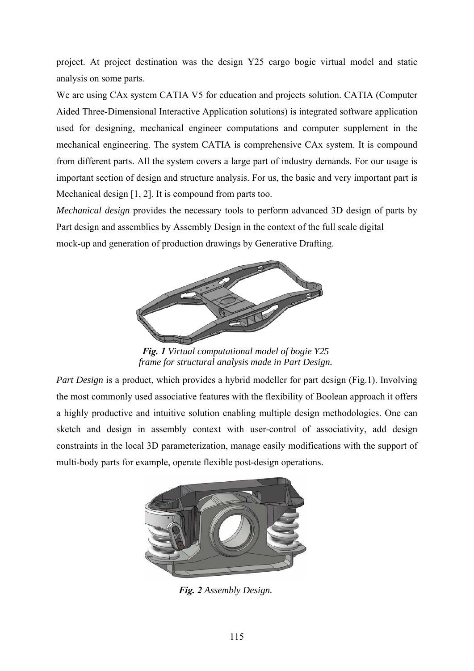project. At project destination was the design Y25 cargo bogie virtual model and static analysis on some parts.

We are using CAx system CATIA V5 for education and projects solution. CATIA (Computer Aided Three-Dimensional Interactive Application solutions) is integrated software application used for designing, mechanical engineer computations and computer supplement in the mechanical engineering. The system CATIA is comprehensive CAx system. It is compound from different parts. All the system covers a large part of industry demands. For our usage is important section of design and structure analysis. For us, the basic and very important part is Mechanical design [1, 2]. It is compound from parts too.

*Mechanical design* provides the necessary tools to perform advanced 3D design of parts by Part design and assemblies by Assembly Design in the context of the full scale digital mock-up and generation of production drawings by Generative Drafting.



*Fig. 1 Virtual computational model of bogie Y25 frame for structural analysis made in Part Design.* 

*Part Design* is a product, which provides a hybrid modeller for part design (Fig.1). Involving the most commonly used associative features with the flexibility of Boolean approach it offers a highly productive and intuitive solution enabling multiple design methodologies. One can sketch and design in assembly context with user-control of associativity, add design constraints in the local 3D parameterization, manage easily modifications with the support of multi-body parts for example, operate flexible post-design operations.



*Fig. 2 Assembly Design.*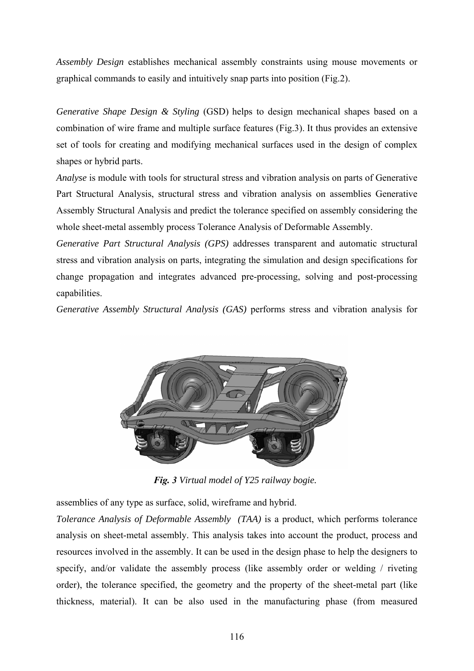*Assembly Design* establishes mechanical assembly constraints using mouse movements or graphical commands to easily and intuitively snap parts into position (Fig.2).

*Generative Shape Design & Styling* (GSD) helps to design mechanical shapes based on a combination of wire frame and multiple surface features (Fig.3). It thus provides an extensive set of tools for creating and modifying mechanical surfaces used in the design of complex shapes or hybrid parts.

*Analyse* is module with tools for structural stress and vibration analysis on parts of Generative Part Structural Analysis, structural stress and vibration analysis on assemblies Generative Assembly Structural Analysis and predict the tolerance specified on assembly considering the whole sheet-metal assembly process Tolerance Analysis of Deformable Assembly.

*Generative Part Structural Analysis (GPS)* addresses transparent and automatic structural stress and vibration analysis on parts, integrating the simulation and design specifications for change propagation and integrates advanced pre-processing, solving and post-processing capabilities.

*Generative Assembly Structural Analysis (GAS)* performs stress and vibration analysis for



*Fig. 3 Virtual model of Y25 railway bogie.* 

assemblies of any type as surface, solid, wireframe and hybrid.

*Tolerance Analysis of Deformable Assembly (TAA)* is a product, which performs tolerance analysis on sheet-metal assembly. This analysis takes into account the product, process and resources involved in the assembly. It can be used in the design phase to help the designers to specify, and/or validate the assembly process (like assembly order or welding / riveting order), the tolerance specified, the geometry and the property of the sheet-metal part (like thickness, material). It can be also used in the manufacturing phase (from measured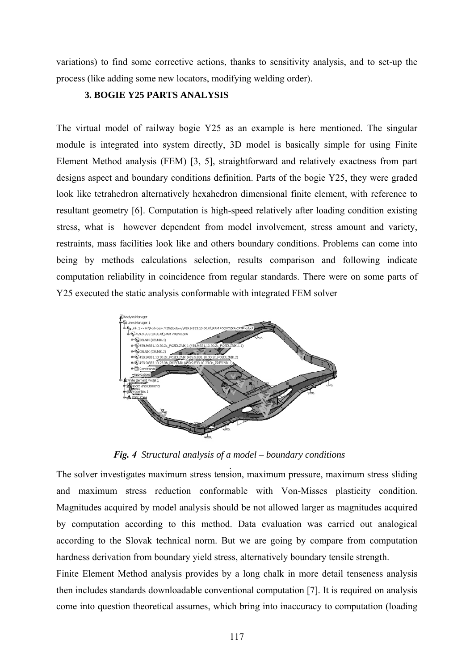variations) to find some corrective actions, thanks to sensitivity analysis, and to set-up the process (like adding some new locators, modifying welding order).

### **3. BOGIE Y25 PARTS ANALYSIS**

The virtual model of railway bogie Y25 as an example is here mentioned. The singular module is integrated into system directly, 3D model is basically simple for using Finite Element Method analysis (FEM) [3, 5], straightforward and relatively exactness from part designs aspect and boundary conditions definition. Parts of the bogie Y25, they were graded look like tetrahedron alternatively hexahedron dimensional finite element, with reference to resultant geometry [6]. Computation is high-speed relatively after loading condition existing stress, what is however dependent from model involvement, stress amount and variety, restraints, mass facilities look like and others boundary conditions. Problems can come into being by methods calculations selection, results comparison and following indicate computation reliability in coincidence from regular standards. There were on some parts of Y25 executed the static analysis conformable with integrated FEM solver



*Fig. 4 Structural analysis of a model – boundary conditions* 

The solver investigates maximum stress tension, maximum pressure, maximum stress sliding and maximum stress reduction conformable with Von-Misses plasticity condition. Magnitudes acquired by model analysis should be not allowed larger as magnitudes acquired by computation according to this method. Data evaluation was carried out analogical according to the Slovak technical norm. But we are going by compare from computation hardness derivation from boundary yield stress, alternatively boundary tensile strength.

Finite Element Method analysis provides by a long chalk in more detail tenseness analysis then includes standards downloadable conventional computation [7]. It is required on analysis come into question theoretical assumes, which bring into inaccuracy to computation (loading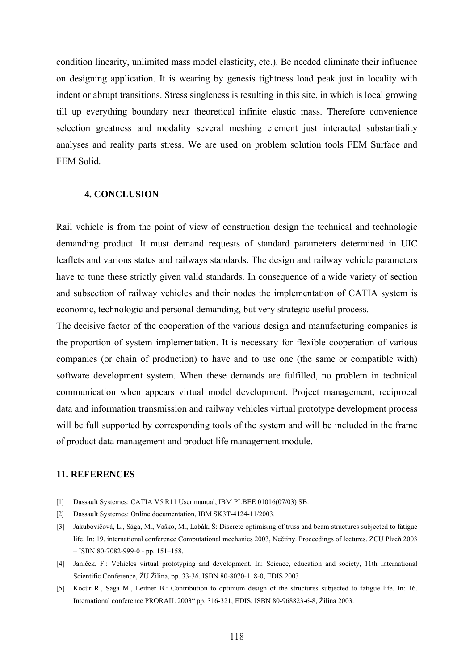condition linearity, unlimited mass model elasticity, etc.). Be needed eliminate their influence on designing application. It is wearing by genesis tightness load peak just in locality with indent or abrupt transitions. Stress singleness is resulting in this site, in which is local growing till up everything boundary near theoretical infinite elastic mass. Therefore convenience selection greatness and modality several meshing element just interacted substantiality analyses and reality parts stress. We are used on problem solution tools FEM Surface and FEM Solid.

#### **4. CONCLUSION**

Rail vehicle is from the point of view of construction design the technical and technologic demanding product. It must demand requests of standard parameters determined in UIC leaflets and various states and railways standards. The design and railway vehicle parameters have to tune these strictly given valid standards. In consequence of a wide variety of section and subsection of railway vehicles and their nodes the implementation of CATIA system is economic, technologic and personal demanding, but very strategic useful process.

The decisive factor of the cooperation of the various design and manufacturing companies is the proportion of system implementation. It is necessary for flexible cooperation of various companies (or chain of production) to have and to use one (the same or compatible with) software development system. When these demands are fulfilled, no problem in technical communication when appears virtual model development. Project management, reciprocal data and information transmission and railway vehicles virtual prototype development process will be full supported by corresponding tools of the system and will be included in the frame of product data management and product life management module.

#### **11. REFERENCES**

- [1] Dassault Systemes: CATIA V5 R11 User manual, IBM PLBEE 01016(07/03) SB.
- [2] Dassault Systemes: Online documentation, IBM SK3T-4124-11/2003.
- [3] Jakubovičová, L., Sága, M., Vaško, M., Labák, Š: Discrete optimising of truss and beam structures subjected to fatigue life. In: 19. international conference Computational mechanics 2003, Nečtiny. Proceedings of lectures. ZCU Plzeň 2003  $-$  ISBN 80-7082-999-0 - pp. 151–158.
- [4] Janíček, F.: Vehicles virtual prototyping and development. In: Science, education and society, 11th International Scientific Conference, ŽU Žilina, pp. 33-36. ISBN 80-8070-118-0, EDIS 2003.
- [5] Kocúr R., Sága M., Leitner B.: Contribution to optimum design of the structures subjected to fatigue life. In: 16. International conference PRORAIL 2003" pp. 316-321, EDIS, ISBN 80-968823-6-8, Žilina 2003.